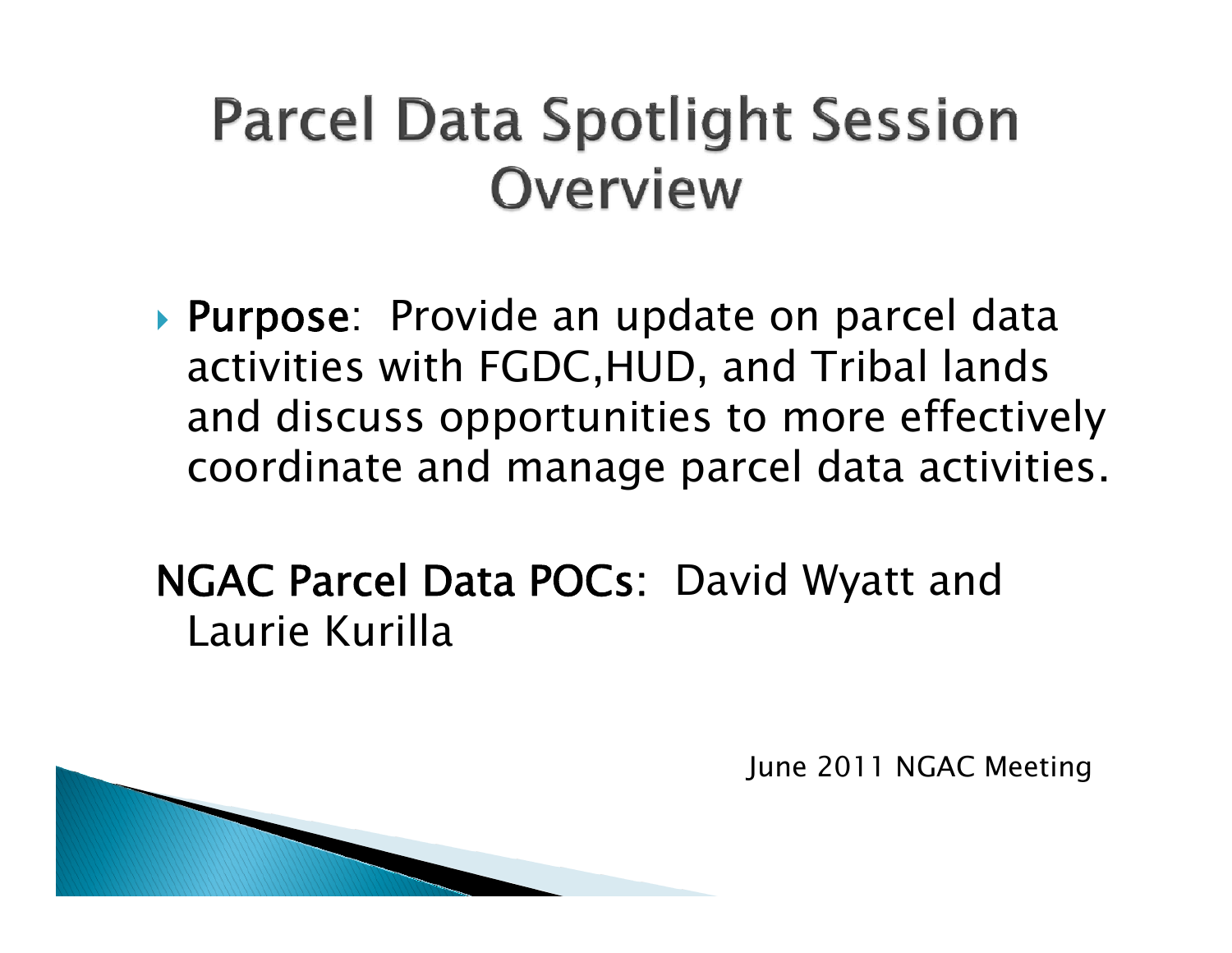### **Parcel Data Spotlight Session Overview**

▶ Purpose: Provide an update on parcel data activities with FGDC,HUD, and Tribal lands and discuss opportunities to more effectively coordinate and manage parcel data activities.

NGAC Parcel Data POCs: David Wyatt and Laurie Kurilla

June 2011 NGAC Meeting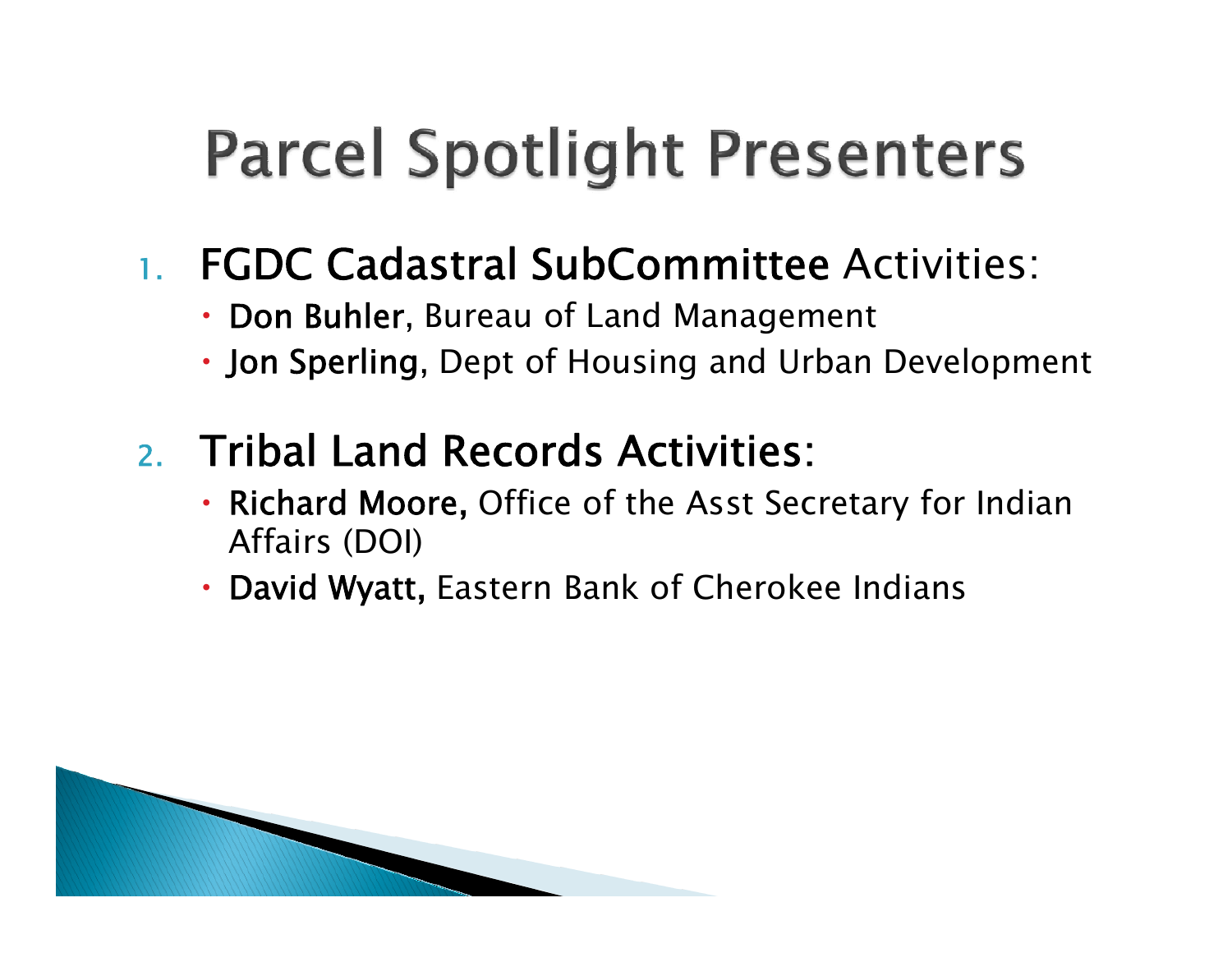# **Parcel Spotlight Presenters**

#### 1.FGDC Cadastral SubCommittee Activities:

- x Don Buhler, Bureau of Land Management
- Jon Sperling, Dept of Housing and Urban Development

### 2. Tribal Land Records Activities:

- Richard Moore, Office of the Asst Secretary for Indian Affairs (DOI)
- David Wyatt, Eastern Bank of Cherokee Indians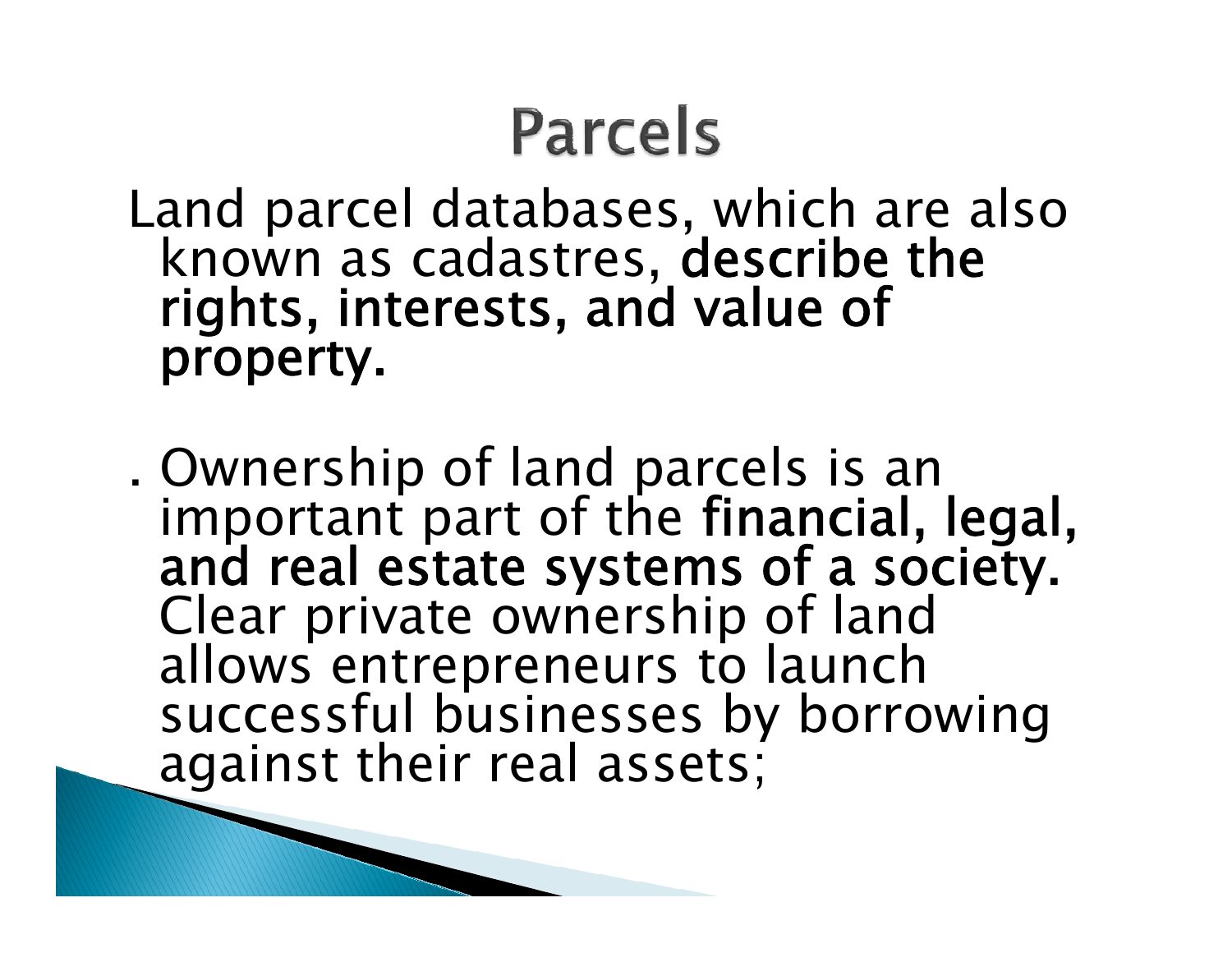## **Parcels**

Land parcel databases, which are also known as cadastres, describe the rights, interests, and value of property.

. Ownership of land parcels is an<br>important part of the financial, legal,<br>and real estate systems of a society.<br>Clear private ownership of land<br>allows entrepreneurs to launch<br>successful businesses by borrowing<br>against thei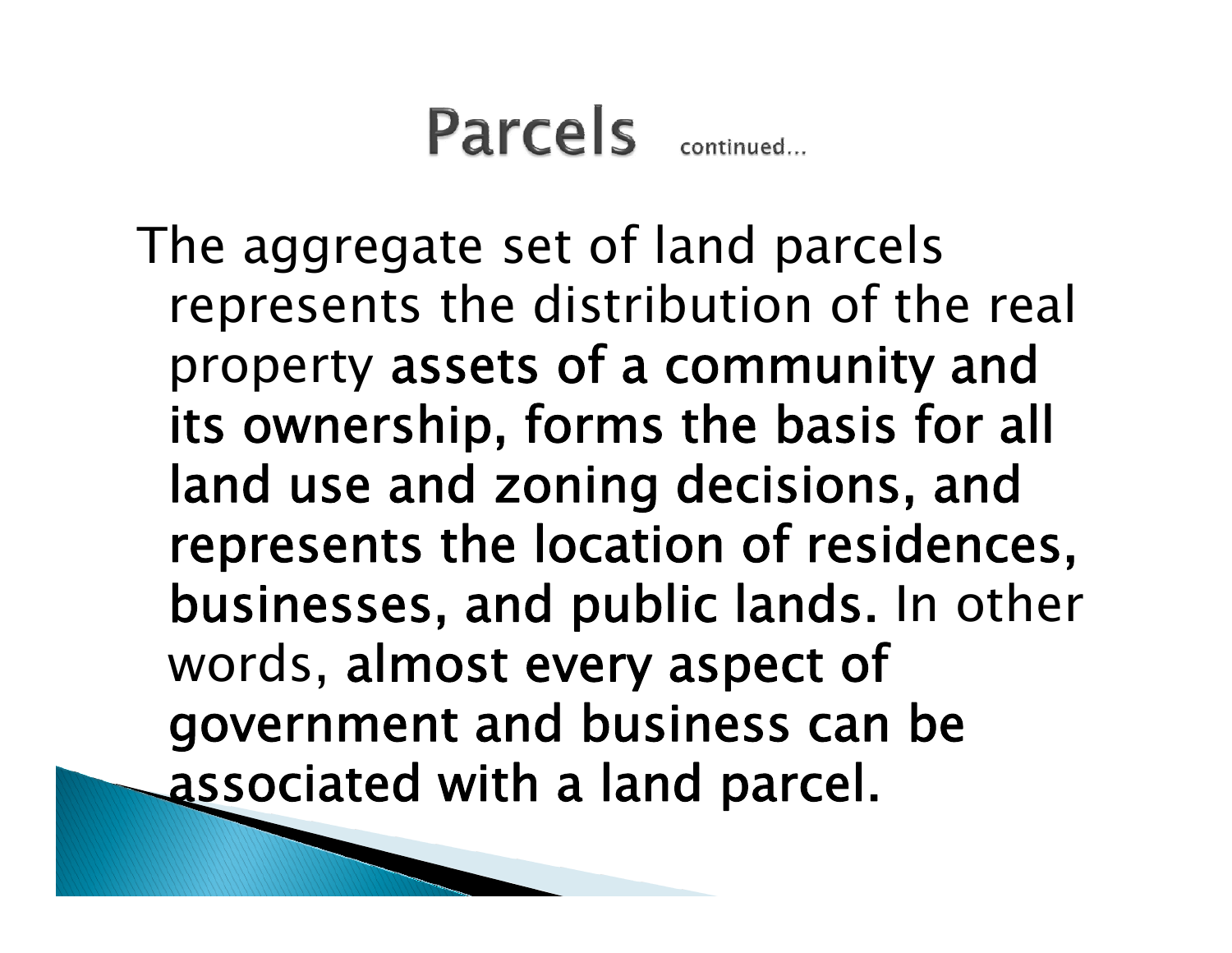### **Parcels** continued

The aggregate set of land parcels represents the distribution of the real property assets of a community and its ownership, forms the basis for all land use and zoning decisions, and represents the location of residences, businesses, and public lands. In other words, almost every aspect of government and business can be associated with a land parcel.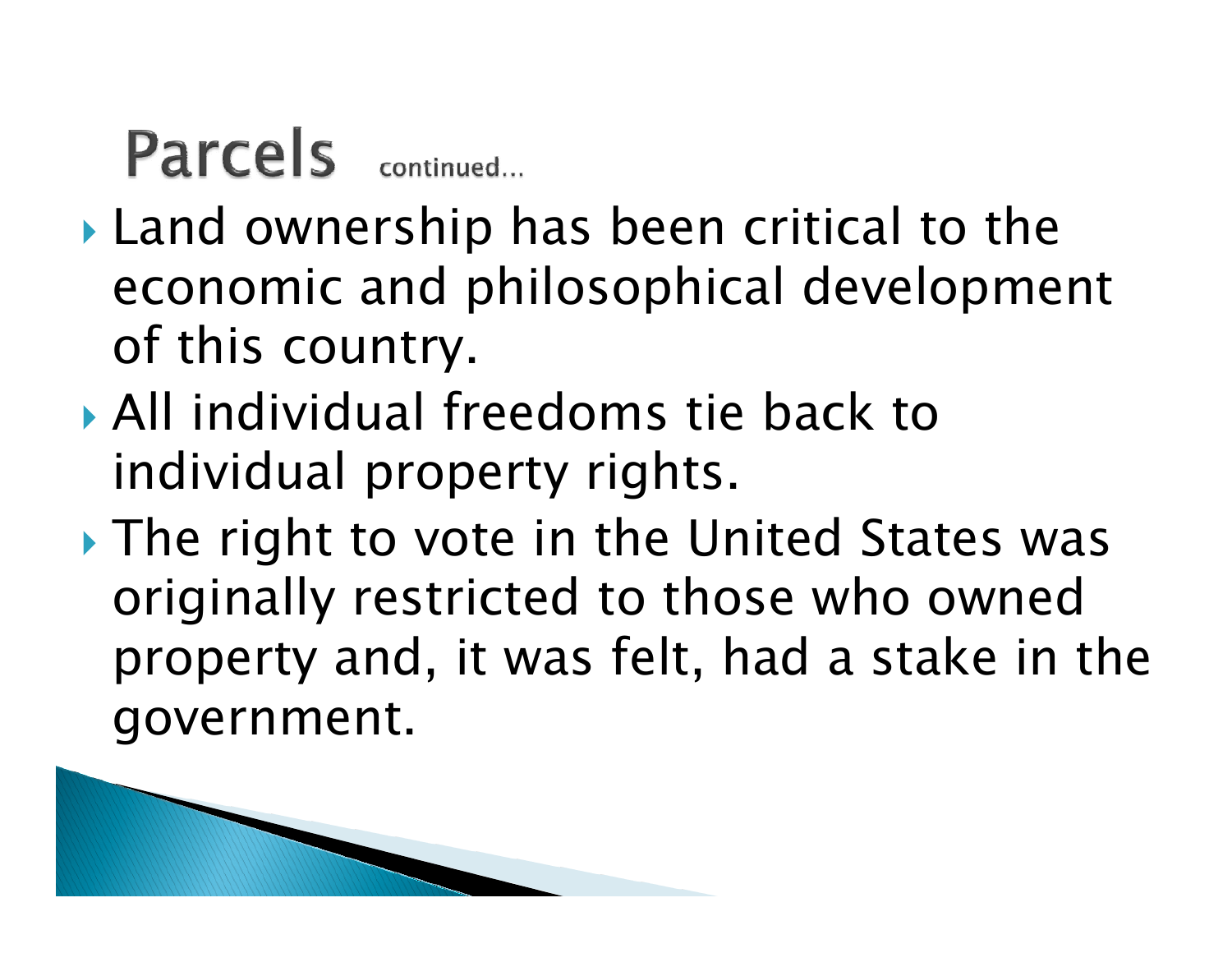### Parcels continued...

**MARKET** 

- $\blacktriangleright$  Land ownership has been critical to the economic and philosophical development of this country.
- ` All individual freedoms tie back to individual property rights.
- $\blacktriangleright$  The right to vote in the United States was originally restricted to those who owned property and, it was felt, had a stake in the government.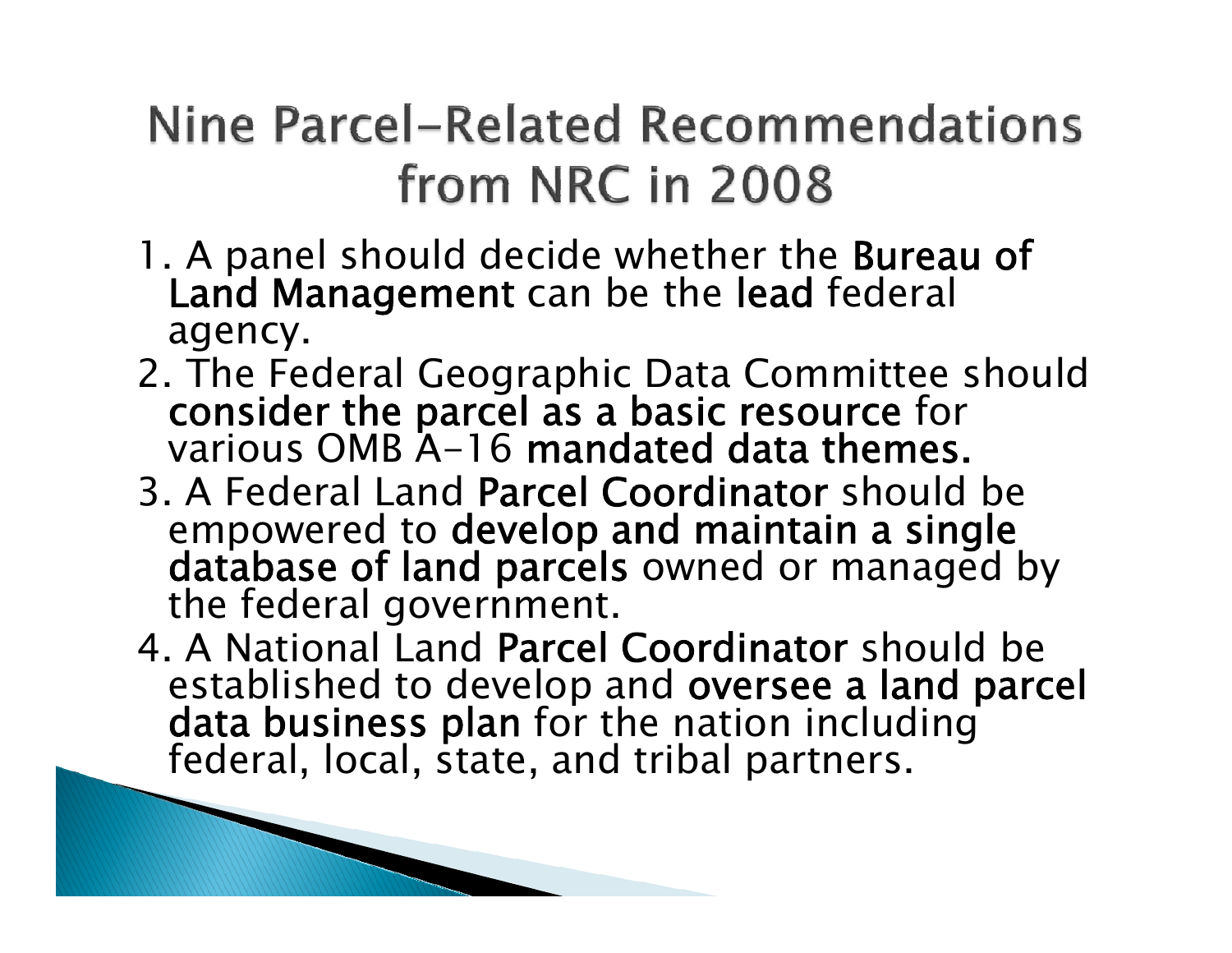### Nine Parcel-Related Recommendations from NRC in 2008

- 1. A panel should decide whether the Bureau of Land Management can be the lead federal agency.
- 2. The Federal Geographic Data Committee should consider the parcel as a basic resource for various OMB A-16 mandated data themes.
- 3. A Federal Land Parcel Coordinator should be empowered to develop and maintain a single<br>database of land parcels owned or managed by<br>the federal government.
- 4. A National Land Parcel Coordinator should be established to develop and oversee a land parcel data business plan for the nation including federal, local, state, and tribal partners.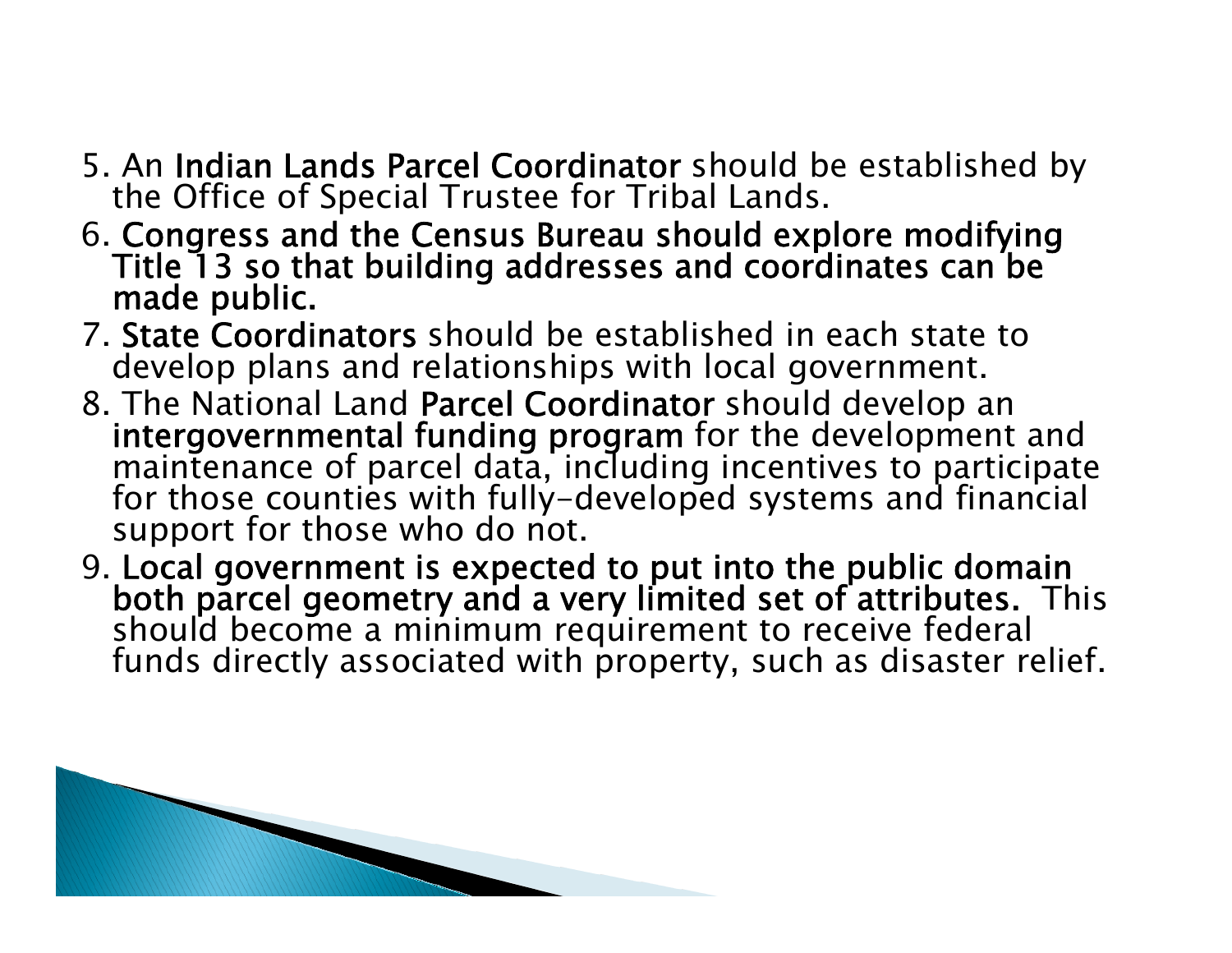- 5. An Indian Lands Parcel Coordinator should be established by the Office of Special Trustee for Tribal Lands.
- 6. Congress and the Census Bureau should explore modifying Title 13 so that building addresses and coordinates can be made public.
- 7. State Coordinators should be established in each state to develop plans and relationships with local government.
- 8. The National Land Parcel Coordinator should develop an intergovernmental funding program for the development and<br>maintenance of parcel data, including incentives to participate<br>for those counties with fully-developed systems and financial<br>support for those who do not.
- 9. Local government is expected to put into the public domain<br>both parcel geometry and a very limited set of attributes. This<br>should become a minimum requirement to receive federal<br>funds directly associated with property,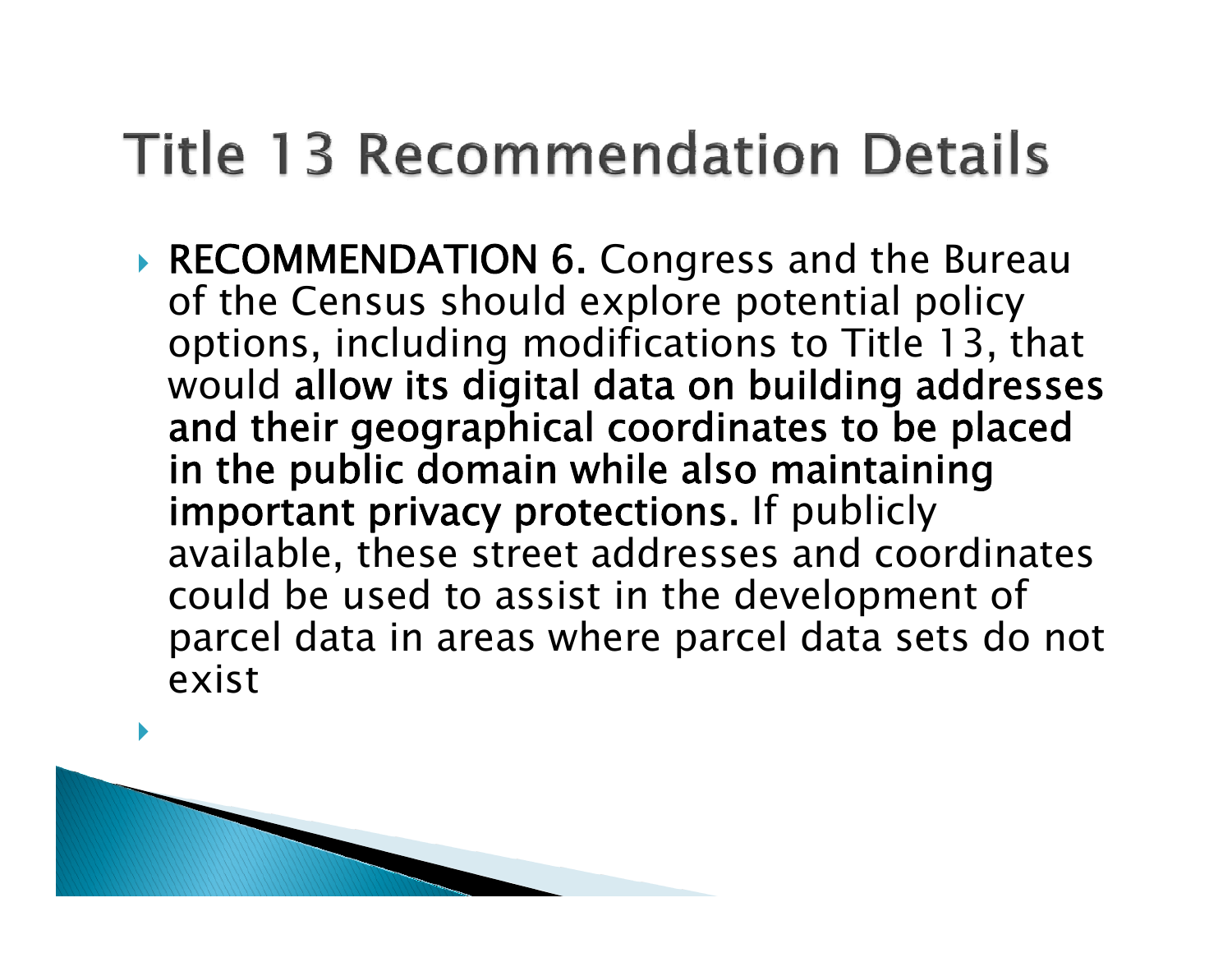### **Title 13 Recommendation Details**

**RECOMMENDATION 6. Congress and the Bureau** of the Census should explore potential policy options, including modifications to Title 13, that would allow its digital data on building addresses and their geographical coordinates to be placed in the public domain while also maintaining important privacy protections. If publicly available, these street addresses and coordinates could be used to assist in the development of parcel data in areas where parcel data sets do not exist

 $\blacktriangleright$